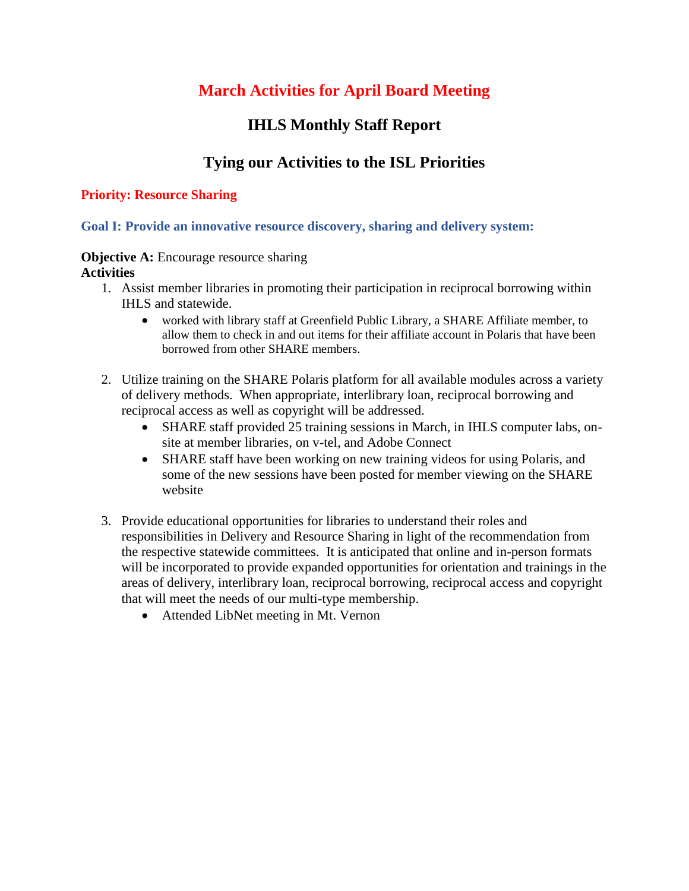# **March Activities for April Board Meeting**

## **IHLS Monthly Staff Report**

## **Tying our Activities to the ISL Priorities**

### **Priority: Resource Sharing**

**Goal I: Provide an innovative resource discovery, sharing and delivery system:** 

### **Objective A:** Encourage resource sharing **Activities**

- 1. Assist member libraries in promoting their participation in reciprocal borrowing within IHLS and statewide.
	- worked with library staff at Greenfield Public Library, a SHARE Affiliate member, to allow them to check in and out items for their affiliate account in Polaris that have been borrowed from other SHARE members.
- 2. Utilize training on the SHARE Polaris platform for all available modules across a variety of delivery methods. When appropriate, interlibrary loan, reciprocal borrowing and reciprocal access as well as copyright will be addressed.
	- SHARE staff provided 25 training sessions in March, in IHLS computer labs, onsite at member libraries, on v-tel, and Adobe Connect
	- SHARE staff have been working on new training videos for using Polaris, and some of the new sessions have been posted for member viewing on the SHARE website
- 3. Provide educational opportunities for libraries to understand their roles and responsibilities in Delivery and Resource Sharing in light of the recommendation from the respective statewide committees. It is anticipated that online and in-person formats will be incorporated to provide expanded opportunities for orientation and trainings in the areas of delivery, interlibrary loan, reciprocal borrowing, reciprocal access and copyright that will meet the needs of our multi-type membership.
	- Attended LibNet meeting in Mt. Vernon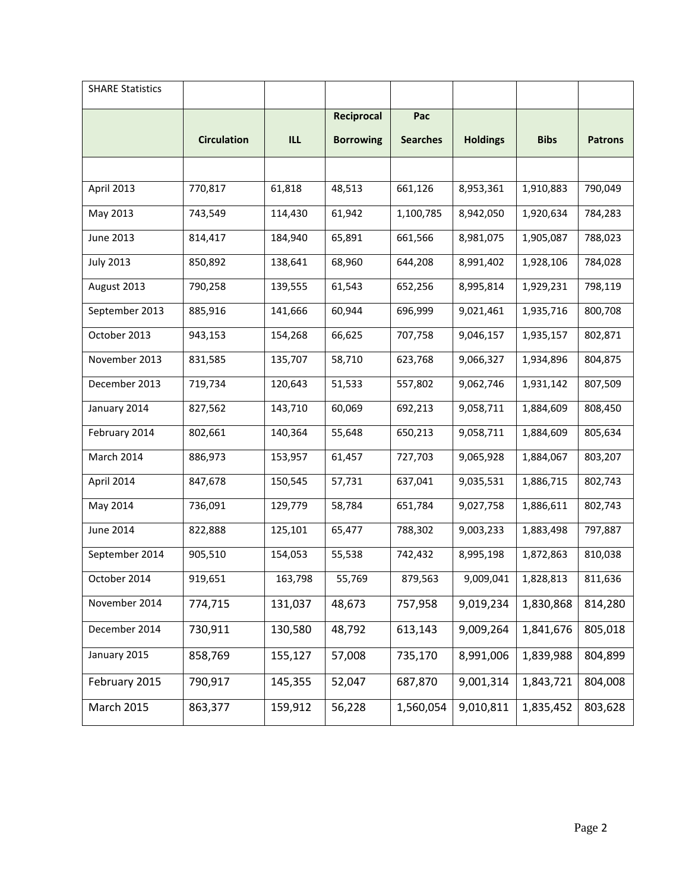| <b>SHARE Statistics</b> |                    |            |                   |                 |                 |             |                |
|-------------------------|--------------------|------------|-------------------|-----------------|-----------------|-------------|----------------|
|                         |                    |            | <b>Reciprocal</b> | Pac             |                 |             |                |
|                         | <b>Circulation</b> | <b>ILL</b> | <b>Borrowing</b>  | <b>Searches</b> | <b>Holdings</b> | <b>Bibs</b> | <b>Patrons</b> |
|                         |                    |            |                   |                 |                 |             |                |
| April 2013              | 770,817            | 61,818     | 48,513            | 661,126         | 8,953,361       | 1,910,883   | 790,049        |
| May 2013                | 743,549            | 114,430    | 61,942            | 1,100,785       | 8,942,050       | 1,920,634   | 784,283        |
| <b>June 2013</b>        | 814,417            | 184,940    | 65,891            | 661,566         | 8,981,075       | 1,905,087   | 788,023        |
| <b>July 2013</b>        | 850,892            | 138,641    | 68,960            | 644,208         | 8,991,402       | 1,928,106   | 784,028        |
| August 2013             | 790,258            | 139,555    | 61,543            | 652,256         | 8,995,814       | 1,929,231   | 798,119        |
| September 2013          | 885,916            | 141,666    | 60,944            | 696,999         | 9,021,461       | 1,935,716   | 800,708        |
| October 2013            | 943,153            | 154,268    | 66,625            | 707,758         | 9,046,157       | 1,935,157   | 802,871        |
| November 2013           | 831,585            | 135,707    | 58,710            | 623,768         | 9,066,327       | 1,934,896   | 804,875        |
| December 2013           | 719,734            | 120,643    | 51,533            | 557,802         | 9,062,746       | 1,931,142   | 807,509        |
| January 2014            | 827,562            | 143,710    | 60,069            | 692,213         | 9,058,711       | 1,884,609   | 808,450        |
| February 2014           | 802,661            | 140,364    | 55,648            | 650,213         | 9,058,711       | 1,884,609   | 805,634        |
| March 2014              | 886,973            | 153,957    | 61,457            | 727,703         | 9,065,928       | 1,884,067   | 803,207        |
| April 2014              | 847,678            | 150,545    | 57,731            | 637,041         | 9,035,531       | 1,886,715   | 802,743        |
| May 2014                | 736,091            | 129,779    | 58,784            | 651,784         | 9,027,758       | 1,886,611   | 802,743        |
| <b>June 2014</b>        | 822,888            | 125,101    | 65,477            | 788,302         | 9,003,233       | 1,883,498   | 797,887        |
| September 2014          | 905,510            | 154,053    | 55,538            | 742,432         | 8,995,198       | 1,872,863   | 810,038        |
| October 2014            | 919,651            | 163,798    | 55,769            | 879,563         | 9,009,041       | 1,828,813   | 811,636        |
| November 2014           | 774,715            | 131,037    | 48,673            | 757,958         | 9,019,234       | 1,830,868   | 814,280        |
| December 2014           | 730,911            | 130,580    | 48,792            | 613,143         | 9,009,264       | 1,841,676   | 805,018        |
| January 2015            | 858,769            | 155,127    | 57,008            | 735,170         | 8,991,006       | 1,839,988   | 804,899        |
| February 2015           | 790,917            | 145,355    | 52,047            | 687,870         | 9,001,314       | 1,843,721   | 804,008        |
| <b>March 2015</b>       | 863,377            | 159,912    | 56,228            | 1,560,054       | 9,010,811       | 1,835,452   | 803,628        |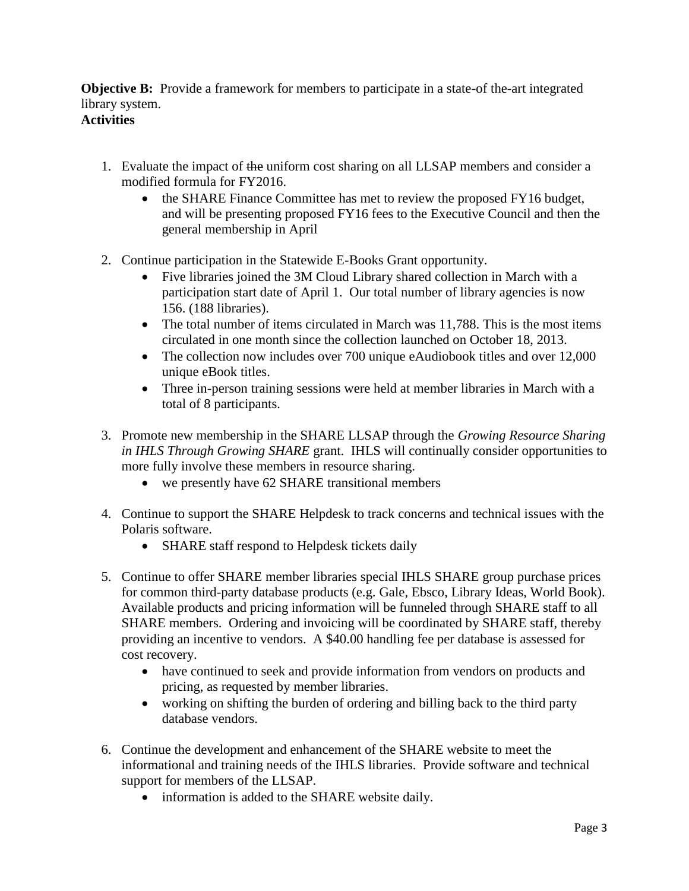**Objective B:** Provide a framework for members to participate in a state-of the-art integrated library system. **Activities**

## 1. Evaluate the impact of the uniform cost sharing on all LLSAP members and consider a modified formula for FY2016.

- the SHARE Finance Committee has met to review the proposed FY16 budget, and will be presenting proposed FY16 fees to the Executive Council and then the general membership in April
- 2. Continue participation in the Statewide E-Books Grant opportunity.
	- Five libraries joined the 3M Cloud Library shared collection in March with a participation start date of April 1. Our total number of library agencies is now 156. (188 libraries).
	- The total number of items circulated in March was 11,788. This is the most items circulated in one month since the collection launched on October 18, 2013.
	- The collection now includes over 700 unique eAudiobook titles and over 12,000 unique eBook titles.
	- Three in-person training sessions were held at member libraries in March with a total of 8 participants.
- 3. Promote new membership in the SHARE LLSAP through the *Growing Resource Sharing in IHLS Through Growing SHARE* grant. IHLS will continually consider opportunities to more fully involve these members in resource sharing.
	- we presently have 62 SHARE transitional members
- 4. Continue to support the SHARE Helpdesk to track concerns and technical issues with the Polaris software.
	- SHARE staff respond to Helpdesk tickets daily
- 5. Continue to offer SHARE member libraries special IHLS SHARE group purchase prices for common third-party database products (e.g. Gale, Ebsco, Library Ideas, World Book). Available products and pricing information will be funneled through SHARE staff to all SHARE members. Ordering and invoicing will be coordinated by SHARE staff, thereby providing an incentive to vendors. A \$40.00 handling fee per database is assessed for cost recovery.
	- have continued to seek and provide information from vendors on products and pricing, as requested by member libraries.
	- working on shifting the burden of ordering and billing back to the third party database vendors.
- 6. Continue the development and enhancement of the SHARE website to meet the informational and training needs of the IHLS libraries. Provide software and technical support for members of the LLSAP.
	- information is added to the SHARE website daily.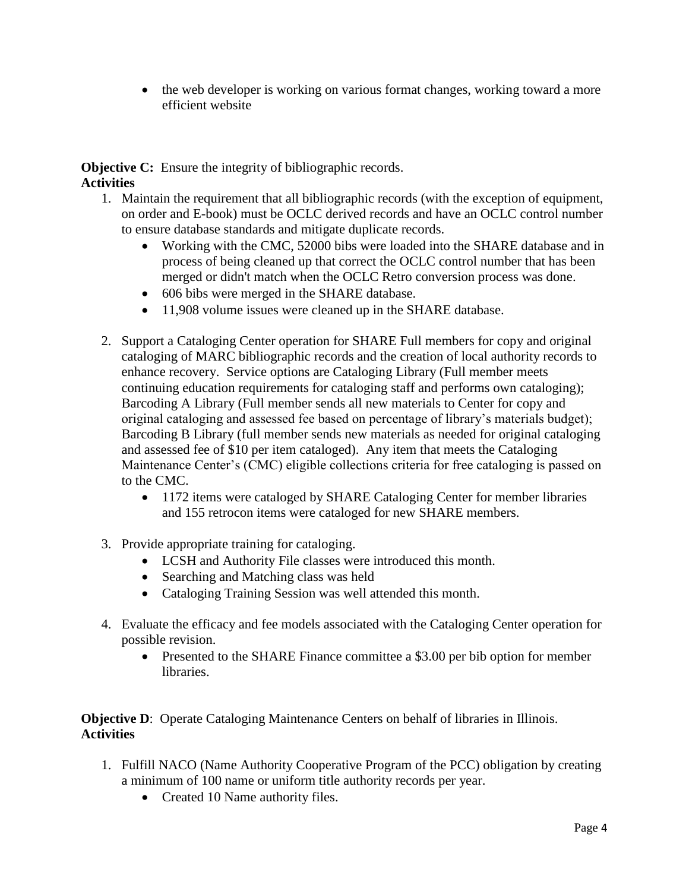• the web developer is working on various format changes, working toward a more efficient website

**Objective C:** Ensure the integrity of bibliographic records. **Activities**

- 1. Maintain the requirement that all bibliographic records (with the exception of equipment, on order and E-book) must be OCLC derived records and have an OCLC control number to ensure database standards and mitigate duplicate records.
	- Working with the CMC, 52000 bibs were loaded into the SHARE database and in process of being cleaned up that correct the OCLC control number that has been merged or didn't match when the OCLC Retro conversion process was done.
	- 606 bibs were merged in the SHARE database.
	- 11,908 volume issues were cleaned up in the SHARE database.
- 2. Support a Cataloging Center operation for SHARE Full members for copy and original cataloging of MARC bibliographic records and the creation of local authority records to enhance recovery. Service options are Cataloging Library (Full member meets continuing education requirements for cataloging staff and performs own cataloging); Barcoding A Library (Full member sends all new materials to Center for copy and original cataloging and assessed fee based on percentage of library's materials budget); Barcoding B Library (full member sends new materials as needed for original cataloging and assessed fee of \$10 per item cataloged). Any item that meets the Cataloging Maintenance Center's (CMC) eligible collections criteria for free cataloging is passed on to the CMC.
	- 1172 items were cataloged by SHARE Cataloging Center for member libraries and 155 retrocon items were cataloged for new SHARE members.
- 3. Provide appropriate training for cataloging.
	- LCSH and Authority File classes were introduced this month.
	- Searching and Matching class was held
	- Cataloging Training Session was well attended this month.
- 4. Evaluate the efficacy and fee models associated with the Cataloging Center operation for possible revision.
	- Presented to the SHARE Finance committee a \$3.00 per bib option for member libraries.

**Objective D:** Operate Cataloging Maintenance Centers on behalf of libraries in Illinois. **Activities**

- 1. Fulfill NACO (Name Authority Cooperative Program of the PCC) obligation by creating a minimum of 100 name or uniform title authority records per year.
	- Created 10 Name authority files.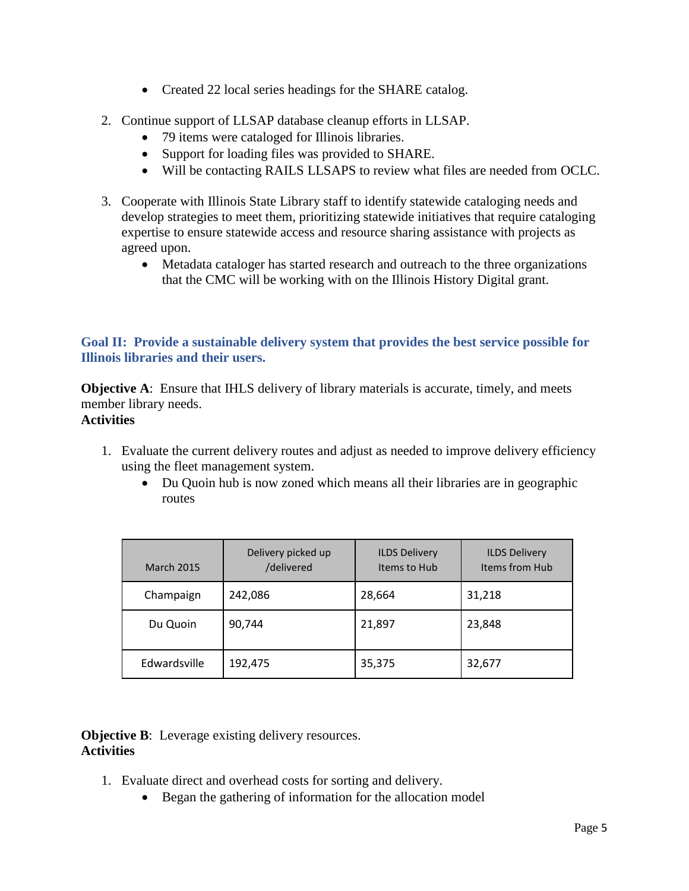- Created 22 local series headings for the SHARE catalog.
- 2. Continue support of LLSAP database cleanup efforts in LLSAP.
	- 79 items were cataloged for Illinois libraries.
	- Support for loading files was provided to SHARE.
	- Will be contacting RAILS LLSAPS to review what files are needed from OCLC.
- 3. Cooperate with Illinois State Library staff to identify statewide cataloging needs and develop strategies to meet them, prioritizing statewide initiatives that require cataloging expertise to ensure statewide access and resource sharing assistance with projects as agreed upon.
	- Metadata cataloger has started research and outreach to the three organizations that the CMC will be working with on the Illinois History Digital grant.

### **Goal II: Provide a sustainable delivery system that provides the best service possible for Illinois libraries and their users.**

**Objective A:** Ensure that IHLS delivery of library materials is accurate, timely, and meets member library needs.

### **Activities**

- 1. Evaluate the current delivery routes and adjust as needed to improve delivery efficiency using the fleet management system.
	- Du Quoin hub is now zoned which means all their libraries are in geographic routes

| <b>March 2015</b> | Delivery picked up<br>/delivered | <b>ILDS Delivery</b><br>Items to Hub | <b>ILDS Delivery</b><br>Items from Hub |
|-------------------|----------------------------------|--------------------------------------|----------------------------------------|
| Champaign         | 242,086                          | 28,664                               | 31,218                                 |
| Du Quoin          | 90,744                           | 21,897                               | 23,848                                 |
| Edwardsville      | 192,475                          | 35,375                               | 32,677                                 |

#### **Objective B:** Leverage existing delivery resources. **Activities**

- 1. Evaluate direct and overhead costs for sorting and delivery.
	- Began the gathering of information for the allocation model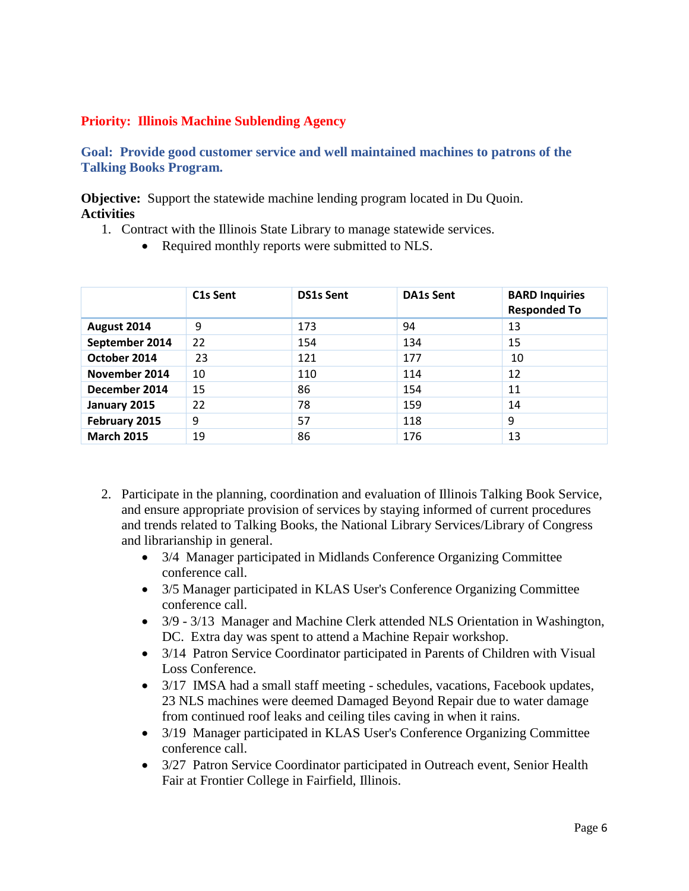#### **Priority: Illinois Machine Sublending Agency**

**Goal: Provide good customer service and well maintained machines to patrons of the Talking Books Program.**

**Objective:** Support the statewide machine lending program located in Du Quoin. **Activities**

- 1. Contract with the Illinois State Library to manage statewide services.
	- Required monthly reports were submitted to NLS.

|                   | C <sub>1</sub> s Sent | <b>DS1s Sent</b> | <b>DA1s Sent</b> | <b>BARD Inquiries</b><br><b>Responded To</b> |
|-------------------|-----------------------|------------------|------------------|----------------------------------------------|
| August 2014       | 9                     | 173              | 94               | 13                                           |
| September 2014    | 22                    | 154              | 134              | 15                                           |
| October 2014      | 23                    | 121              | 177              | 10                                           |
| November 2014     | 10                    | 110              | 114              | 12                                           |
| December 2014     | 15                    | 86               | 154              | 11                                           |
| January 2015      | 22                    | 78               | 159              | 14                                           |
| February 2015     | 9                     | 57               | 118              | 9                                            |
| <b>March 2015</b> | 19                    | 86               | 176              | 13                                           |

- 2. Participate in the planning, coordination and evaluation of Illinois Talking Book Service, and ensure appropriate provision of services by staying informed of current procedures and trends related to Talking Books, the National Library Services/Library of Congress and librarianship in general.
	- 3/4 Manager participated in Midlands Conference Organizing Committee conference call.
	- 3/5 Manager participated in KLAS User's Conference Organizing Committee conference call.
	- 3/9 3/13 Manager and Machine Clerk attended NLS Orientation in Washington, DC. Extra day was spent to attend a Machine Repair workshop.
	- 3/14 Patron Service Coordinator participated in Parents of Children with Visual Loss Conference.
	- 3/17 IMSA had a small staff meeting schedules, vacations, Facebook updates, 23 NLS machines were deemed Damaged Beyond Repair due to water damage from continued roof leaks and ceiling tiles caving in when it rains.
	- 3/19 Manager participated in KLAS User's Conference Organizing Committee conference call.
	- 3/27 Patron Service Coordinator participated in Outreach event, Senior Health Fair at Frontier College in Fairfield, Illinois.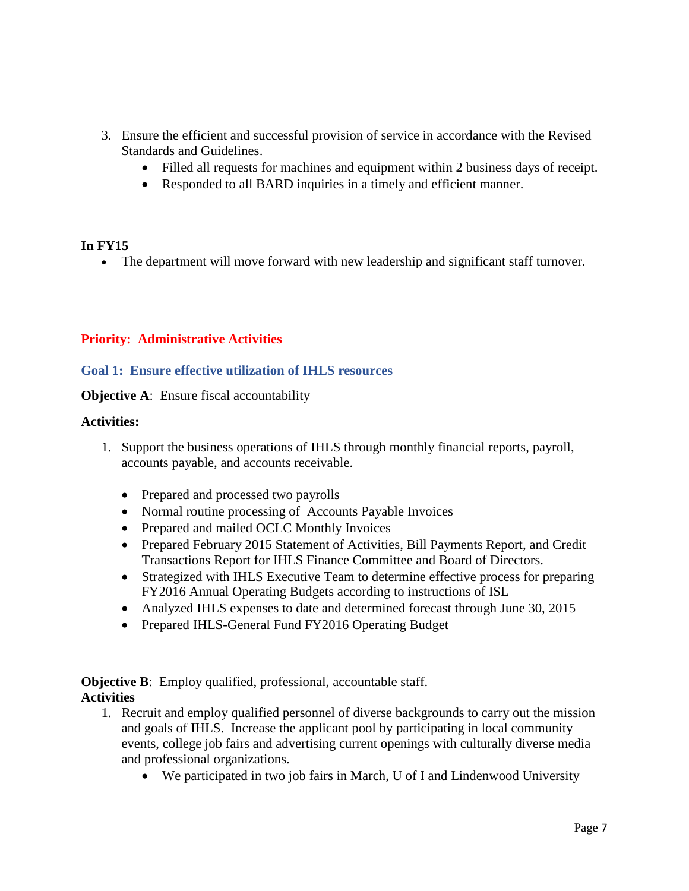- 3. Ensure the efficient and successful provision of service in accordance with the Revised Standards and Guidelines.
	- Filled all requests for machines and equipment within 2 business days of receipt.
	- Responded to all BARD inquiries in a timely and efficient manner.

#### **In FY15**

The department will move forward with new leadership and significant staff turnover.

#### **Priority: Administrative Activities**

#### **Goal 1: Ensure effective utilization of IHLS resources**

**Objective A:** Ensure fiscal accountability

#### **Activities:**

- 1. Support the business operations of IHLS through monthly financial reports, payroll, accounts payable, and accounts receivable.
	- Prepared and processed two payrolls
	- Normal routine processing of Accounts Payable Invoices
	- Prepared and mailed OCLC Monthly Invoices
	- Prepared February 2015 Statement of Activities, Bill Payments Report, and Credit Transactions Report for IHLS Finance Committee and Board of Directors.
	- Strategized with IHLS Executive Team to determine effective process for preparing FY2016 Annual Operating Budgets according to instructions of ISL
	- Analyzed IHLS expenses to date and determined forecast through June 30, 2015
	- Prepared IHLS-General Fund FY2016 Operating Budget

**Objective B:** Employ qualified, professional, accountable staff. **Activities**

- 1. Recruit and employ qualified personnel of diverse backgrounds to carry out the mission and goals of IHLS. Increase the applicant pool by participating in local community events, college job fairs and advertising current openings with culturally diverse media and professional organizations.
	- We participated in two job fairs in March, U of I and Lindenwood University